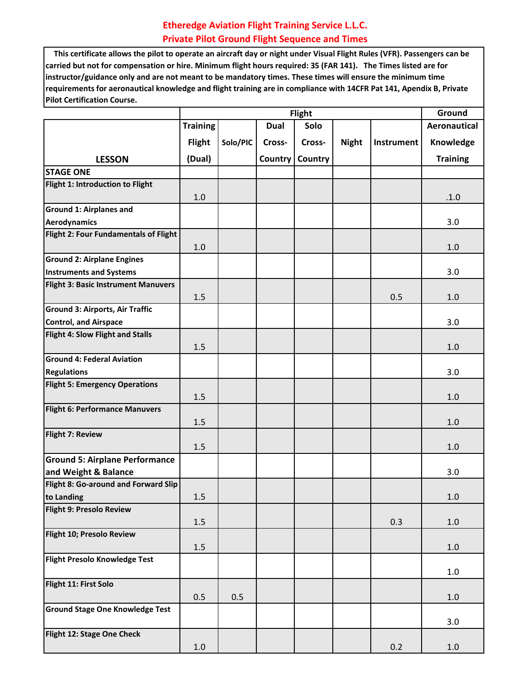## **Etheredge Aviation Flight Training Service L.L.C. Private Pilot Ground Flight Sequence and Times**

 **This certificate allows the pilot to operate an aircraft day or night under Visual Flight Rules (VFR). Passengers can be carried but not for compensation or hire. Minimum flight hours required: 35 (FAR 141). The Times listed are for instructor/guidance only and are not meant to be mandatory times. These times will ensure the minimum time requirements for aeronautical knowledge and flight training are in compliance with 14CFR Pat 141, Apendix B, Private Pilot Certification Course.**

|                                                       |                 | Ground   |             |         |              |            |                     |
|-------------------------------------------------------|-----------------|----------|-------------|---------|--------------|------------|---------------------|
|                                                       | <b>Training</b> |          | <b>Dual</b> | Solo    |              |            | <b>Aeronautical</b> |
|                                                       | <b>Flight</b>   | Solo/PIC | Cross-      | Cross-  | <b>Night</b> | Instrument | Knowledge           |
| <b>LESSON</b>                                         | (Dual)          |          | Country     | Country |              |            | <b>Training</b>     |
| <b>STAGE ONE</b>                                      |                 |          |             |         |              |            |                     |
| Flight 1: Introduction to Flight                      | $1.0\,$         |          |             |         |              |            | .1.0                |
| <b>Ground 1: Airplanes and</b><br><b>Aerodynamics</b> |                 |          |             |         |              |            | 3.0                 |
| Flight 2: Four Fundamentals of Flight                 | 1.0             |          |             |         |              |            | 1.0                 |
| <b>Ground 2: Airplane Engines</b>                     |                 |          |             |         |              |            |                     |
| <b>Instruments and Systems</b>                        |                 |          |             |         |              |            | 3.0                 |
| <b>Flight 3: Basic Instrument Manuvers</b>            | 1.5             |          |             |         |              | 0.5        | 1.0                 |
| <b>Ground 3: Airports, Air Traffic</b>                |                 |          |             |         |              |            |                     |
| <b>Control, and Airspace</b>                          |                 |          |             |         |              |            | 3.0                 |
| Flight 4: Slow Flight and Stalls                      |                 |          |             |         |              |            |                     |
|                                                       | 1.5             |          |             |         |              |            | 1.0                 |
| <b>Ground 4: Federal Aviation</b>                     |                 |          |             |         |              |            |                     |
| <b>Regulations</b>                                    |                 |          |             |         |              |            | 3.0                 |
| <b>Flight 5: Emergency Operations</b>                 | 1.5             |          |             |         |              |            | 1.0                 |
| <b>Flight 6: Performance Manuvers</b>                 | 1.5             |          |             |         |              |            | 1.0                 |
| Flight 7: Review                                      | 1.5             |          |             |         |              |            | 1.0                 |
| <b>Ground 5: Airplane Performance</b>                 |                 |          |             |         |              |            |                     |
| and Weight & Balance                                  |                 |          |             |         |              |            | 3.0                 |
| Flight 8: Go-around and Forward Slip<br>to Landing    | 1.5             |          |             |         |              |            | 1.0                 |
| Flight 9: Presolo Review                              | 1.5             |          |             |         |              | 0.3        | $1.0\,$             |
| Flight 10; Presolo Review                             |                 |          |             |         |              |            |                     |
|                                                       | 1.5             |          |             |         |              |            | $1.0\,$             |
| Flight Presolo Knowledge Test                         |                 |          |             |         |              |            | $1.0\,$             |
| Flight 11: First Solo                                 | 0.5             | 0.5      |             |         |              |            | $1.0\,$             |
| <b>Ground Stage One Knowledge Test</b>                |                 |          |             |         |              |            | 3.0                 |
| Flight 12: Stage One Check                            | $1.0\,$         |          |             |         |              | 0.2        | $1.0\,$             |